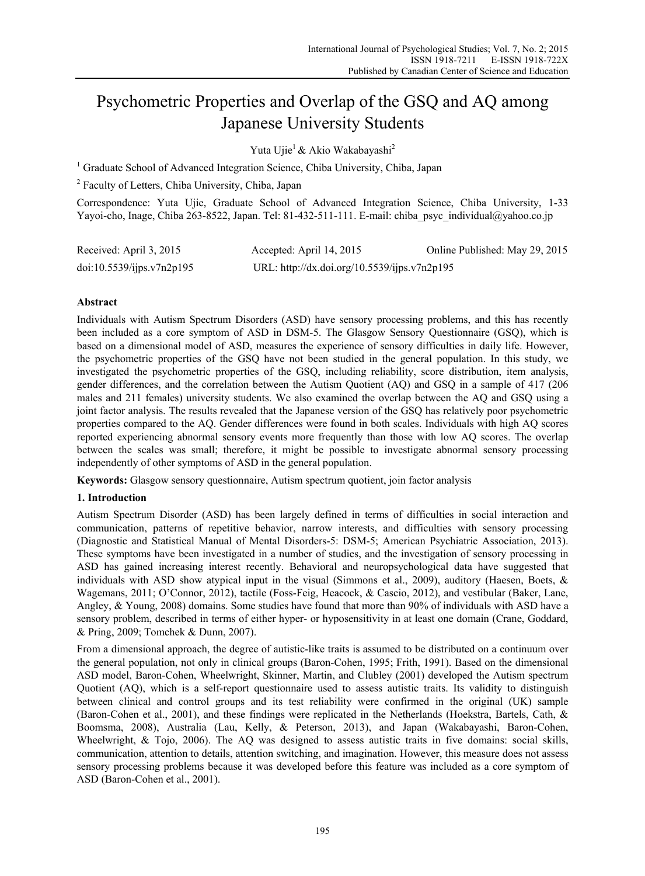# Psychometric Properties and Overlap of the GSQ and AQ among Japanese University Students

Yuta Ujie<sup>1</sup> & Akio Wakabayashi<sup>2</sup>

<sup>1</sup> Graduate School of Advanced Integration Science, Chiba University, Chiba, Japan

<sup>2</sup> Faculty of Letters, Chiba University, Chiba, Japan

Correspondence: Yuta Ujie, Graduate School of Advanced Integration Science, Chiba University, 1-33 Yayoi-cho, Inage, Chiba 263-8522, Japan. Tel: 81-432-511-111. E-mail: chiba\_psyc\_individual@yahoo.co.jp

| Received: April 3, 2015   | Accepted: April 14, 2015                     | Online Published: May 29, 2015 |
|---------------------------|----------------------------------------------|--------------------------------|
| doi:10.5539/ijps.v7n2p195 | URL: http://dx.doi.org/10.5539/ijps.v7n2p195 |                                |

# **Abstract**

Individuals with Autism Spectrum Disorders (ASD) have sensory processing problems, and this has recently been included as a core symptom of ASD in DSM-5. The Glasgow Sensory Questionnaire (GSQ), which is based on a dimensional model of ASD, measures the experience of sensory difficulties in daily life. However, the psychometric properties of the GSQ have not been studied in the general population. In this study, we investigated the psychometric properties of the GSQ, including reliability, score distribution, item analysis, gender differences, and the correlation between the Autism Quotient (AQ) and GSQ in a sample of 417 (206 males and 211 females) university students. We also examined the overlap between the AQ and GSQ using a joint factor analysis. The results revealed that the Japanese version of the GSQ has relatively poor psychometric properties compared to the AQ. Gender differences were found in both scales. Individuals with high AQ scores reported experiencing abnormal sensory events more frequently than those with low AQ scores. The overlap between the scales was small; therefore, it might be possible to investigate abnormal sensory processing independently of other symptoms of ASD in the general population.

**Keywords:** Glasgow sensory questionnaire, Autism spectrum quotient, join factor analysis

# **1. Introduction**

Autism Spectrum Disorder (ASD) has been largely defined in terms of difficulties in social interaction and communication, patterns of repetitive behavior, narrow interests, and difficulties with sensory processing (Diagnostic and Statistical Manual of Mental Disorders-5: DSM-5; American Psychiatric Association, 2013). These symptoms have been investigated in a number of studies, and the investigation of sensory processing in ASD has gained increasing interest recently. Behavioral and neuropsychological data have suggested that individuals with ASD show atypical input in the visual (Simmons et al., 2009), auditory (Haesen, Boets, & Wagemans, 2011; O'Connor, 2012), tactile (Foss-Feig, Heacock, & Cascio, 2012), and vestibular (Baker, Lane, Angley, & Young, 2008) domains. Some studies have found that more than 90% of individuals with ASD have a sensory problem, described in terms of either hyper- or hyposensitivity in at least one domain (Crane, Goddard, & Pring, 2009; Tomchek & Dunn, 2007).

From a dimensional approach, the degree of autistic-like traits is assumed to be distributed on a continuum over the general population, not only in clinical groups (Baron-Cohen, 1995; Frith, 1991). Based on the dimensional ASD model, Baron-Cohen, Wheelwright, Skinner, Martin, and Clubley (2001) developed the Autism spectrum Quotient (AQ), which is a self-report questionnaire used to assess autistic traits. Its validity to distinguish between clinical and control groups and its test reliability were confirmed in the original (UK) sample (Baron-Cohen et al., 2001), and these findings were replicated in the Netherlands (Hoekstra, Bartels, Cath, & Boomsma, 2008), Australia (Lau, Kelly, & Peterson, 2013), and Japan (Wakabayashi, Baron-Cohen, Wheelwright, & Tojo, 2006). The AQ was designed to assess autistic traits in five domains: social skills, communication, attention to details, attention switching, and imagination. However, this measure does not assess sensory processing problems because it was developed before this feature was included as a core symptom of ASD (Baron-Cohen et al., 2001).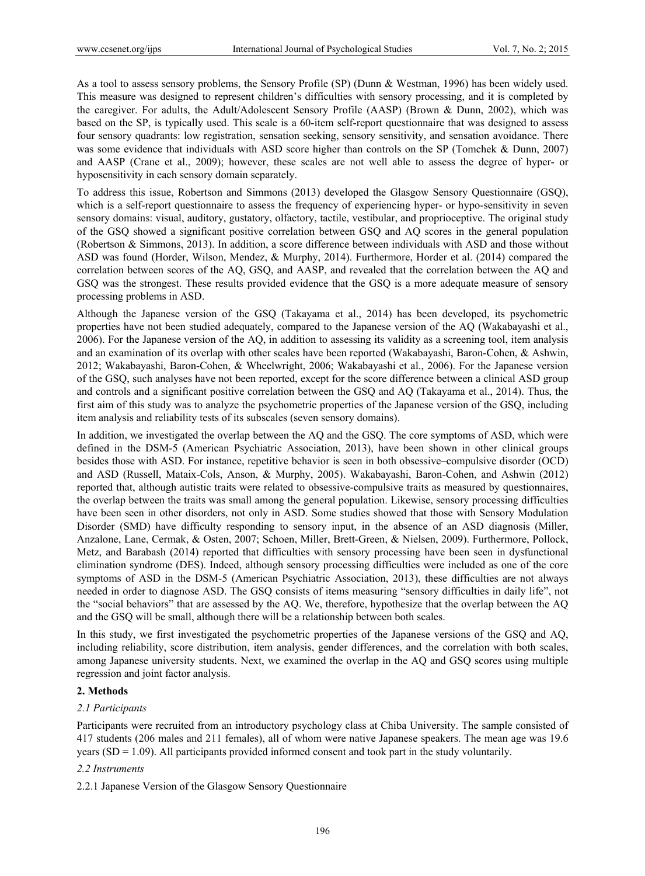As a tool to assess sensory problems, the Sensory Profile (SP) (Dunn & Westman, 1996) has been widely used. This measure was designed to represent children's difficulties with sensory processing, and it is completed by the caregiver. For adults, the Adult/Adolescent Sensory Profile (AASP) (Brown & Dunn, 2002), which was based on the SP, is typically used. This scale is a 60-item self-report questionnaire that was designed to assess four sensory quadrants: low registration, sensation seeking, sensory sensitivity, and sensation avoidance. There was some evidence that individuals with ASD score higher than controls on the SP (Tomchek & Dunn, 2007) and AASP (Crane et al., 2009); however, these scales are not well able to assess the degree of hyper- or hyposensitivity in each sensory domain separately.

To address this issue, Robertson and Simmons (2013) developed the Glasgow Sensory Questionnaire (GSQ), which is a self-report questionnaire to assess the frequency of experiencing hyper- or hypo-sensitivity in seven sensory domains: visual, auditory, gustatory, olfactory, tactile, vestibular, and proprioceptive. The original study of the GSQ showed a significant positive correlation between GSQ and AQ scores in the general population (Robertson & Simmons, 2013). In addition, a score difference between individuals with ASD and those without ASD was found (Horder, Wilson, Mendez, & Murphy, 2014). Furthermore, Horder et al. (2014) compared the correlation between scores of the AQ, GSQ, and AASP, and revealed that the correlation between the AQ and GSQ was the strongest. These results provided evidence that the GSQ is a more adequate measure of sensory processing problems in ASD.

Although the Japanese version of the GSQ (Takayama et al., 2014) has been developed, its psychometric properties have not been studied adequately, compared to the Japanese version of the AQ (Wakabayashi et al., 2006). For the Japanese version of the AQ, in addition to assessing its validity as a screening tool, item analysis and an examination of its overlap with other scales have been reported (Wakabayashi, Baron-Cohen, & Ashwin, 2012; Wakabayashi, Baron-Cohen, & Wheelwright, 2006; Wakabayashi et al., 2006). For the Japanese version of the GSQ, such analyses have not been reported, except for the score difference between a clinical ASD group and controls and a significant positive correlation between the GSQ and AQ (Takayama et al., 2014). Thus, the first aim of this study was to analyze the psychometric properties of the Japanese version of the GSQ, including item analysis and reliability tests of its subscales (seven sensory domains).

In addition, we investigated the overlap between the AQ and the GSQ. The core symptoms of ASD, which were defined in the DSM-5 (American Psychiatric Association, 2013), have been shown in other clinical groups besides those with ASD. For instance, repetitive behavior is seen in both obsessive–compulsive disorder (OCD) and ASD (Russell, Mataix-Cols, Anson, & Murphy, 2005). Wakabayashi, Baron-Cohen, and Ashwin (2012) reported that, although autistic traits were related to obsessive-compulsive traits as measured by questionnaires, the overlap between the traits was small among the general population. Likewise, sensory processing difficulties have been seen in other disorders, not only in ASD. Some studies showed that those with Sensory Modulation Disorder (SMD) have difficulty responding to sensory input, in the absence of an ASD diagnosis (Miller, Anzalone, Lane, Cermak, & Osten, 2007; Schoen, Miller, Brett-Green, & Nielsen, 2009). Furthermore, Pollock, Metz, and Barabash (2014) reported that difficulties with sensory processing have been seen in dysfunctional elimination syndrome (DES). Indeed, although sensory processing difficulties were included as one of the core symptoms of ASD in the DSM-5 (American Psychiatric Association, 2013), these difficulties are not always needed in order to diagnose ASD. The GSQ consists of items measuring "sensory difficulties in daily life", not the "social behaviors" that are assessed by the AQ. We, therefore, hypothesize that the overlap between the AQ and the GSQ will be small, although there will be a relationship between both scales.

In this study, we first investigated the psychometric properties of the Japanese versions of the GSQ and AQ, including reliability, score distribution, item analysis, gender differences, and the correlation with both scales, among Japanese university students. Next, we examined the overlap in the AQ and GSQ scores using multiple regression and joint factor analysis.

## **2. Methods**

## *2.1 Participants*

Participants were recruited from an introductory psychology class at Chiba University. The sample consisted of 417 students (206 males and 211 females), all of whom were native Japanese speakers. The mean age was 19.6 years  $(SD = 1.09)$ . All participants provided informed consent and took part in the study voluntarily.

#### *2.2 Instruments*

2.2.1 Japanese Version of the Glasgow Sensory Questionnaire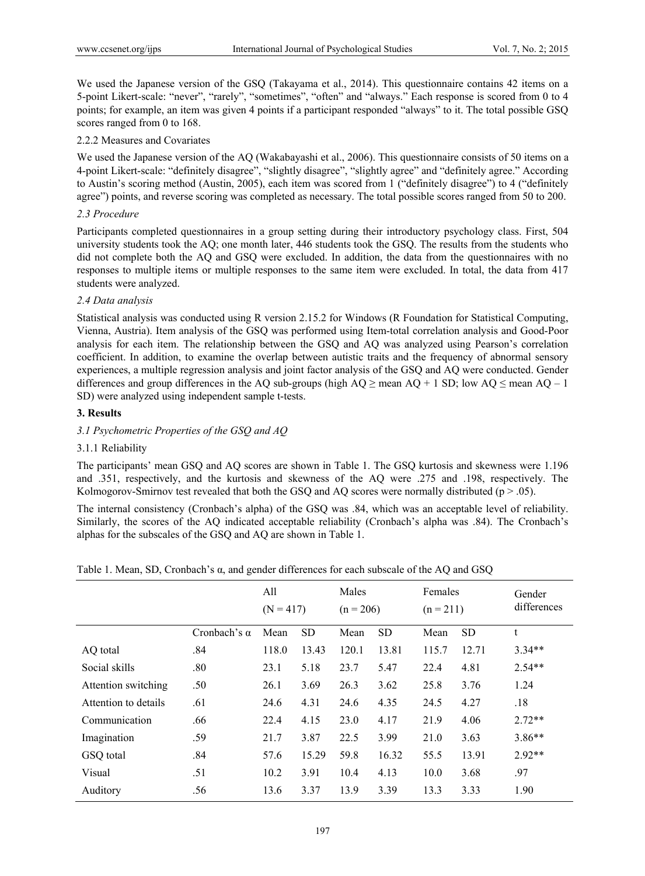We used the Japanese version of the GSQ (Takayama et al., 2014). This questionnaire contains 42 items on a 5-point Likert-scale: "never", "rarely", "sometimes", "often" and "always." Each response is scored from 0 to 4 points; for example, an item was given 4 points if a participant responded "always" to it. The total possible GSQ scores ranged from 0 to 168.

## 2.2.2 Measures and Covariates

We used the Japanese version of the AQ (Wakabayashi et al., 2006). This questionnaire consists of 50 items on a 4-point Likert-scale: "definitely disagree", "slightly disagree", "slightly agree" and "definitely agree." According to Austin's scoring method (Austin, 2005), each item was scored from 1 ("definitely disagree") to 4 ("definitely agree") points, and reverse scoring was completed as necessary. The total possible scores ranged from 50 to 200.

## *2.3 Procedure*

Participants completed questionnaires in a group setting during their introductory psychology class. First, 504 university students took the AQ; one month later, 446 students took the GSQ. The results from the students who did not complete both the AQ and GSQ were excluded. In addition, the data from the questionnaires with no responses to multiple items or multiple responses to the same item were excluded. In total, the data from 417 students were analyzed.

# *2.4 Data analysis*

Statistical analysis was conducted using R version 2.15.2 for Windows (R Foundation for Statistical Computing, Vienna, Austria). Item analysis of the GSQ was performed using Item-total correlation analysis and Good-Poor analysis for each item. The relationship between the GSQ and AQ was analyzed using Pearson's correlation coefficient. In addition, to examine the overlap between autistic traits and the frequency of abnormal sensory experiences, a multiple regression analysis and joint factor analysis of the GSQ and AQ were conducted. Gender differences and group differences in the AQ sub-groups (high  $AQ \ge$  mean  $AQ + 1$  SD; low  $AQ \le$  mean  $AQ - 1$ SD) were analyzed using independent sample t-tests.

## **3. Results**

# *3.1 Psychometric Properties of the GSQ and AQ*

## 3.1.1 Reliability

The participants' mean GSQ and AQ scores are shown in Table 1. The GSQ kurtosis and skewness were 1.196 and .351, respectively, and the kurtosis and skewness of the AQ were .275 and .198, respectively. The Kolmogorov-Smirnov test revealed that both the GSO and AO scores were normally distributed ( $p > .05$ ).

The internal consistency (Cronbach's alpha) of the GSQ was .84, which was an acceptable level of reliability. Similarly, the scores of the AQ indicated acceptable reliability (Cronbach's alpha was .84). The Cronbach's alphas for the subscales of the GSQ and AQ are shown in Table 1.

Table 1. Mean, SD, Cronbach's α, and gender differences for each subscale of the AQ and GSQ

|                      |                     | All<br>$(N = 417)$ |           | Males<br>$(n = 206)$ |           | Females<br>$(n = 211)$ |           | Gender<br>differences |
|----------------------|---------------------|--------------------|-----------|----------------------|-----------|------------------------|-----------|-----------------------|
|                      | Cronbach's $\alpha$ | Mean               | <b>SD</b> | Mean                 | <b>SD</b> | Mean                   | <b>SD</b> | t                     |
| AQ total             | .84                 | 118.0              | 13.43     | 120.1                | 13.81     | 115.7                  | 12.71     | $3.34**$              |
| Social skills        | .80                 | 23.1               | 5.18      | 23.7                 | 5.47      | 22.4                   | 4.81      | $2.54**$              |
| Attention switching  | .50                 | 26.1               | 3.69      | 26.3                 | 3.62      | 25.8                   | 3.76      | 1.24                  |
| Attention to details | .61                 | 24.6               | 4.31      | 24.6                 | 4.35      | 24.5                   | 4.27      | .18                   |
| Communication        | .66                 | 22.4               | 4.15      | 23.0                 | 4.17      | 21.9                   | 4.06      | $2.72**$              |
| Imagination          | .59                 | 21.7               | 3.87      | 22.5                 | 3.99      | 21.0                   | 3.63      | $3.86**$              |
| GSQ total            | .84                 | 57.6               | 15.29     | 59.8                 | 16.32     | 55.5                   | 13.91     | $2.92**$              |
| Visual               | .51                 | 10.2               | 3.91      | 10.4                 | 4.13      | 10.0                   | 3.68      | .97                   |
| Auditory             | .56                 | 13.6               | 3.37      | 13.9                 | 3.39      | 13.3                   | 3.33      | 1.90                  |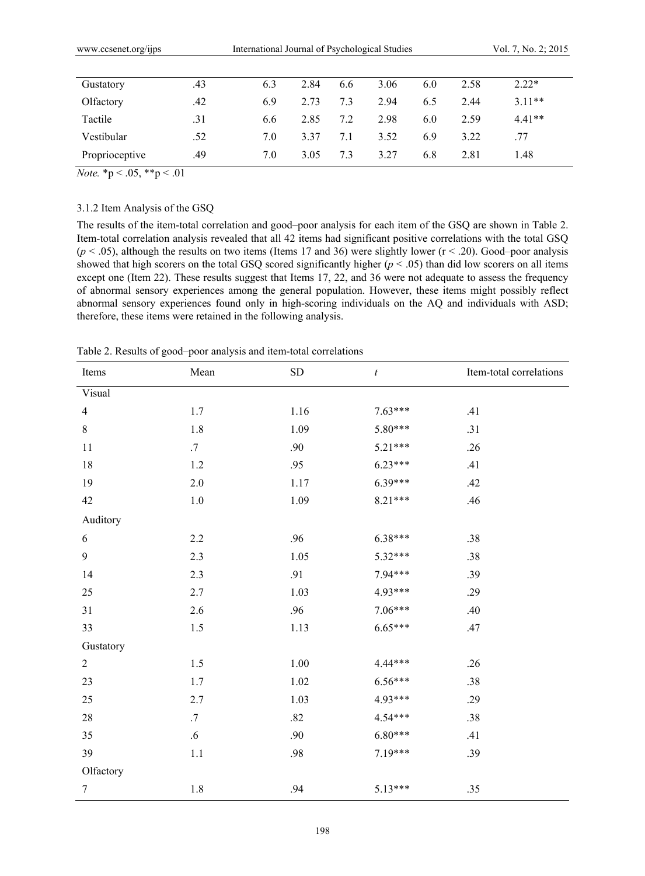| Gustatory      | .43 | 6.3 | 2.84 | 6.6 | 3.06 | 6.0 | 2.58 | $2.22*$  |  |
|----------------|-----|-----|------|-----|------|-----|------|----------|--|
| Olfactory      | .42 | 6.9 | 2.73 | 7.3 | 2.94 | 6.5 | 2.44 | $3.11**$ |  |
| Tactile        | .31 | 6.6 | 2.85 | 7.2 | 2.98 | 6.0 | 2.59 | $4.41**$ |  |
| Vestibular     | .52 | 7.0 | 3.37 | 7.1 | 3.52 | 6.9 | 3.22 | .77      |  |
| Proprioceptive | .49 | 7.0 | 3.05 | 7.3 | 3.27 | 6.8 | 2.81 | 1.48     |  |

*Note.*  ${}^*p < .05, {}^*{}^p < .01$ 

# 3.1.2 Item Analysis of the GSQ

The results of the item-total correlation and good–poor analysis for each item of the GSQ are shown in Table 2. Item-total correlation analysis revealed that all 42 items had significant positive correlations with the total GSQ  $(p < .05)$ , although the results on two items (Items 17 and 36) were slightly lower  $(r < .20)$ . Good–poor analysis showed that high scorers on the total GSQ scored significantly higher  $(p < .05)$  than did low scorers on all items except one (Item 22). These results suggest that Items 17, 22, and 36 were not adequate to assess the frequency of abnormal sensory experiences among the general population. However, these items might possibly reflect abnormal sensory experiences found only in high-scoring individuals on the AQ and individuals with ASD; therefore, these items were retained in the following analysis.

| Items            | Mean    | ${\rm SD}$ | $\boldsymbol{t}$ | Item-total correlations |
|------------------|---------|------------|------------------|-------------------------|
| Visual           |         |            |                  |                         |
| $\overline{4}$   | 1.7     | 1.16       | $7.63***$        | .41                     |
| 8                | $1.8\,$ | 1.09       | 5.80***          | .31                     |
| 11               | $.7\,$  | .90        | $5.21***$        | .26                     |
| 18               | 1.2     | .95        | $6.23***$        | .41                     |
| 19               | 2.0     | 1.17       | $6.39***$        | .42                     |
| 42               | $1.0\,$ | 1.09       | $8.21***$        | .46                     |
| Auditory         |         |            |                  |                         |
| 6                | 2.2     | .96        | $6.38***$        | .38                     |
| 9                | 2.3     | 1.05       | 5.32***          | .38                     |
| 14               | 2.3     | .91        | 7.94***          | .39                     |
| 25               | $2.7\,$ | 1.03       | 4.93***          | .29                     |
| 31               | $2.6\,$ | .96        | $7.06***$        | .40                     |
| 33               | $1.5\,$ | 1.13       | $6.65***$        | .47                     |
| Gustatory        |         |            |                  |                         |
| $\overline{2}$   | 1.5     | $1.00\,$   | 4.44***          | .26                     |
| 23               | 1.7     | 1.02       | $6.56***$        | .38                     |
| 25               | 2.7     | 1.03       | 4.93***          | .29                     |
| 28               | .7      | .82        | $4.54***$        | .38                     |
| 35               | $.6\,$  | .90        | $6.80***$        | .41                     |
| 39               | $1.1\,$ | .98        | $7.19***$        | .39                     |
| Olfactory        |         |            |                  |                         |
| $\boldsymbol{7}$ | $1.8\,$ | .94        | $5.13***$        | .35                     |

Table 2. Results of good–poor analysis and item-total correlations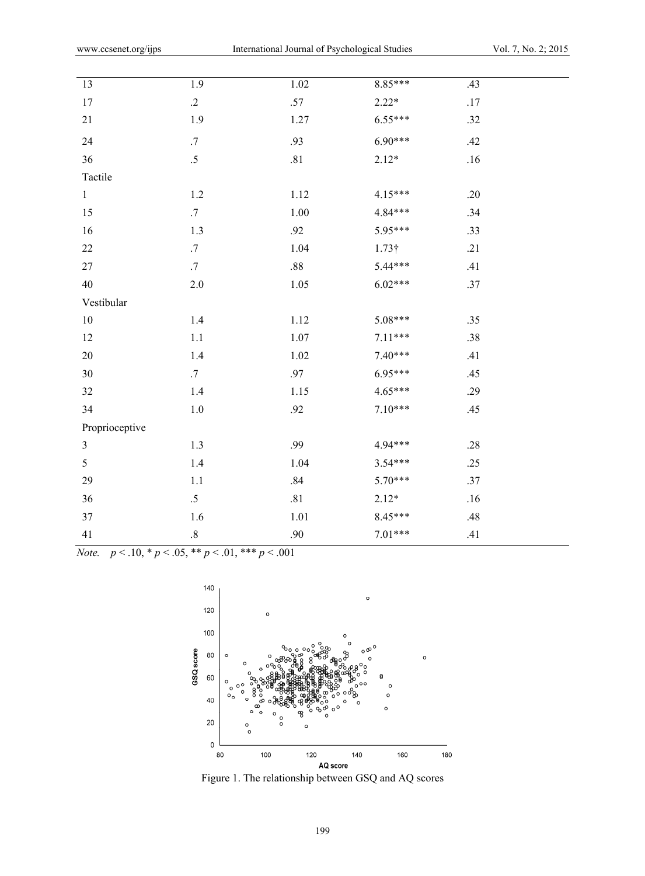| 13             | 1.9     | $1.02\,$ | $8.85***$     | .43     |
|----------------|---------|----------|---------------|---------|
| $17$           | $\cdot$ | $.57\,$  | $2.22*$       | $.17\,$ |
| $21\,$         | 1.9     | 1.27     | 6.55***       | .32     |
| 24             | .7      | .93      | $6.90***$     | .42     |
| 36             | $.5\,$  | $.81\,$  | $2.12*$       | .16     |
| Tactile        |         |          |               |         |
| $\mathbf{1}$   | 1.2     | 1.12     | 4.15***       | .20     |
| 15             | $.7\,$  | 1.00     | 4.84***       | .34     |
| 16             | $1.3$   | .92      | 5.95***       | .33     |
| 22             | $.7\,$  | 1.04     | $1.73\dagger$ | .21     |
| 27             | $.7\,$  | $.88\,$  | 5.44***       | .41     |
| 40             | $2.0\,$ | $1.05\,$ | $6.02***$     | .37     |
| Vestibular     |         |          |               |         |
| $10\,$         | $1.4\,$ | 1.12     | 5.08***       | .35     |
| 12             | 1.1     | 1.07     | $7.11***$     | .38     |
| 20             | $1.4\,$ | $1.02\,$ | $7.40***$     | .41     |
| 30             | $.7\,$  | .97      | 6.95***       | .45     |
| 32             | $1.4\,$ | 1.15     | $4.65***$     | .29     |
| 34             | $1.0\,$ | .92      | $7.10***$     | .45     |
| Proprioceptive |         |          |               |         |
| $\overline{3}$ | 1.3     | .99      | 4.94***       | .28     |
| 5              | $1.4\,$ | 1.04     | $3.54***$     | .25     |
| 29             | $1.1\,$ | $.84\,$  | $5.70***$     | .37     |
| 36             | $.5\,$  | $.81\,$  | $2.12*$       | .16     |
| 37             | 1.6     | 1.01     | 8.45***       | .48     |
| 41             | $.8\,$  | .90      | $7.01***$     | .41     |

*Note.*  $p < .10, *p < .05, **p < .01, ***p < .001$ 



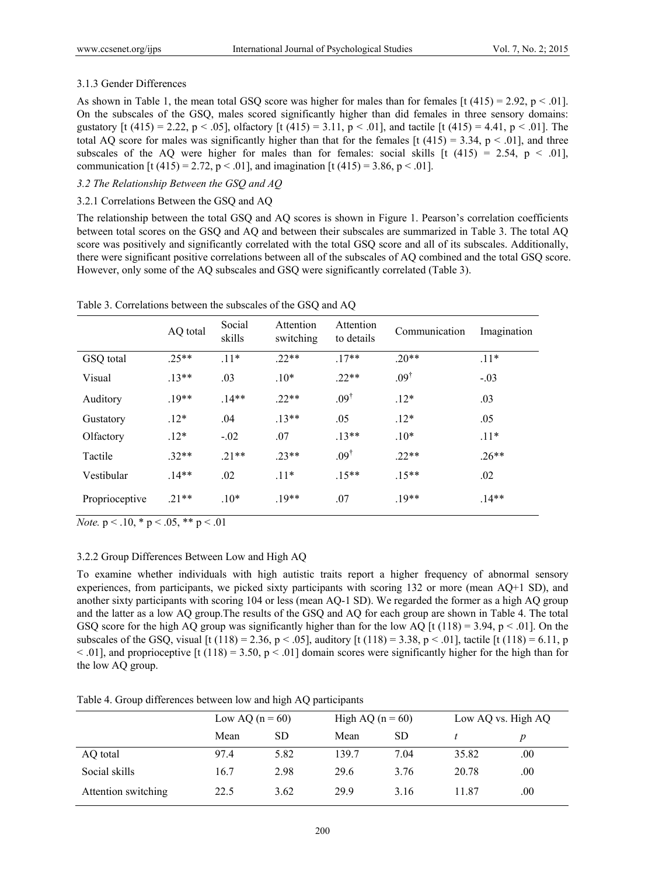# 3.1.3 Gender Differences

As shown in Table 1, the mean total GSQ score was higher for males than for females  $\lbrack t \ (415) = 2.92, p < .01 \rbrack$ . On the subscales of the GSQ, males scored significantly higher than did females in three sensory domains: gustatory [t (415) = 2.22, p < .05], olfactory [t (415) = 3.11, p < .01], and tactile [t (415) = 4.41, p < .01]. The total AQ score for males was significantly higher than that for the females  $[t (415) = 3.34, p < .01]$ , and three subscales of the AQ were higher for males than for females: social skills  $[t (415) = 2.54, p < .01]$ , communication [t (415) = 2.72, p < .01], and imagination [t (415) = 3.86, p < .01].

# *3.2 The Relationship Between the GSQ and AQ*

# 3.2.1 Correlations Between the GSQ and AQ

The relationship between the total GSQ and AQ scores is shown in Figure 1. Pearson's correlation coefficients between total scores on the GSQ and AQ and between their subscales are summarized in Table 3. The total AQ score was positively and significantly correlated with the total GSQ score and all of its subscales. Additionally, there were significant positive correlations between all of the subscales of AQ combined and the total GSQ score. However, only some of the AQ subscales and GSQ were significantly correlated (Table 3).

|                | AQ total | Social<br>skills | Attention<br>switching | Attention<br>to details | Communication    | Imagination |
|----------------|----------|------------------|------------------------|-------------------------|------------------|-------------|
| GSQ total      | $25**$   | $.11*$           | $22**$                 | $17**$                  | $.20**$          | $.11*$      |
| Visual         | $.13**$  | .03              | $.10*$                 | $22**$                  | .09 <sup>†</sup> | $-.03$      |
| Auditory       | $19**$   | $14**$           | $22**$                 | $.09^{\dagger}$         | $.12*$           | .03         |
| Gustatory      | $.12*$   | .04              | $.13**$                | .05                     | $.12*$           | .05         |
| Olfactory      | $.12*$   | $-.02$           | .07                    | $.13**$                 | $.10*$           | $.11*$      |
| Tactile        | $32**$   | $21**$           | $23**$                 | $.09^{\dagger}$         | $22**$           | $.26**$     |
| Vestibular     | $.14**$  | .02              | $.11*$                 | $.15**$                 | $.15**$          | .02         |
| Proprioceptive | $21**$   | $.10*$           | $.19**$                | .07                     | $.19**$          | $.14**$     |

Table 3. Correlations between the subscales of the GSQ and AQ

*Note.*  $p < .10$ ,  $p < .05$ ,  $p < .01$ 

# 3.2.2 Group Differences Between Low and High AQ

To examine whether individuals with high autistic traits report a higher frequency of abnormal sensory experiences, from participants, we picked sixty participants with scoring 132 or more (mean AQ+1 SD), and another sixty participants with scoring 104 or less (mean AQ-1 SD). We regarded the former as a high AQ group and the latter as a low AQ group.The results of the GSQ and AQ for each group are shown in Table 4. The total GSQ score for the high AQ group was significantly higher than for the low AQ  $\left[\frac{t(118)}{3}\right] = 3.94$ ,  $p < .01$ . On the subscales of the GSO, visual [t (118) = 2.36, p < .05], auditory [t (118) = 3.38, p < .01], tactile [t (118) = 6.11, p  $\leq$  .01], and proprioceptive [t (118) = 3.50, p  $\leq$  .01] domain scores were significantly higher for the high than for the low AQ group.

Table 4. Group differences between low and high AQ participants

|                     | Low AQ $(n = 60)$ |           | High AQ $(n = 60)$ |           | Low AQ vs. High AQ |                  |  |
|---------------------|-------------------|-----------|--------------------|-----------|--------------------|------------------|--|
|                     | Mean              | <b>SD</b> | Mean               | <b>SD</b> |                    | $\boldsymbol{p}$ |  |
| AQ total            | 97.4              | 5.82      | 139.7              | 7.04      | 35.82              | .00.             |  |
| Social skills       | 16.7              | 2.98      | 29.6               | 3.76      | 20.78              | .00.             |  |
| Attention switching | 22.5              | 3.62      | 29.9               | 3.16      | 11.87              | .00.             |  |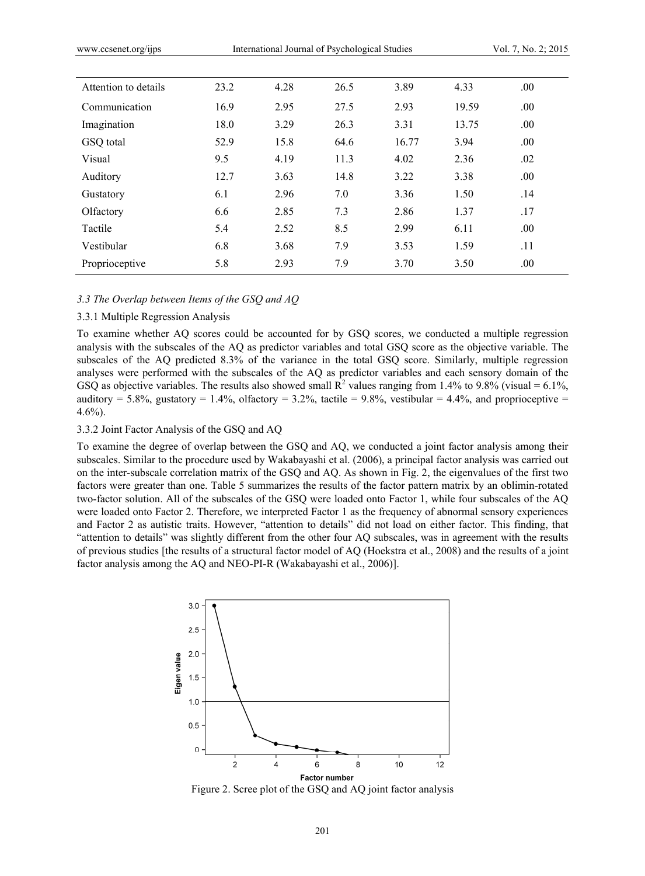| Attention to details | 23.2 | 4.28 | 26.5 | 3.89  | 4.33  | .00. |  |
|----------------------|------|------|------|-------|-------|------|--|
| Communication        | 16.9 | 2.95 | 27.5 | 2.93  | 19.59 | .00. |  |
| Imagination          | 18.0 | 3.29 | 26.3 | 3.31  | 13.75 | .00. |  |
| GSQ total            | 52.9 | 15.8 | 64.6 | 16.77 | 3.94  | .00. |  |
| Visual               | 9.5  | 4.19 | 11.3 | 4.02  | 2.36  | .02  |  |
| Auditory             | 12.7 | 3.63 | 14.8 | 3.22  | 3.38  | .00. |  |
| Gustatory            | 6.1  | 2.96 | 7.0  | 3.36  | 1.50  | .14  |  |
| Olfactory            | 6.6  | 2.85 | 7.3  | 2.86  | 1.37  | .17  |  |
| Tactile              | 5.4  | 2.52 | 8.5  | 2.99  | 6.11  | .00. |  |
| Vestibular           | 6.8  | 3.68 | 7.9  | 3.53  | 1.59  | .11  |  |
| Proprioceptive       | 5.8  | 2.93 | 7.9  | 3.70  | 3.50  | .00. |  |

## *3.3 The Overlap between Items of the GSQ and AQ*

## 3.3.1 Multiple Regression Analysis

To examine whether AQ scores could be accounted for by GSQ scores, we conducted a multiple regression analysis with the subscales of the AQ as predictor variables and total GSQ score as the objective variable. The subscales of the AQ predicted 8.3% of the variance in the total GSQ score. Similarly, multiple regression analyses were performed with the subscales of the AQ as predictor variables and each sensory domain of the GSQ as objective variables. The results also showed small  $R^2$  values ranging from 1.4% to 9.8% (visual = 6.1%, auditory = 5.8%, gustatory = 1.4%, olfactory = 3.2%, tactile = 9.8%, vestibular = 4.4%, and proprioceptive =  $4.6\%$ ).

### 3.3.2 Joint Factor Analysis of the GSQ and AQ

To examine the degree of overlap between the GSQ and AQ, we conducted a joint factor analysis among their subscales. Similar to the procedure used by Wakabayashi et al. (2006), a principal factor analysis was carried out on the inter-subscale correlation matrix of the GSQ and AQ. As shown in Fig. 2, the eigenvalues of the first two factors were greater than one. Table 5 summarizes the results of the factor pattern matrix by an oblimin-rotated two-factor solution. All of the subscales of the GSQ were loaded onto Factor 1, while four subscales of the AQ were loaded onto Factor 2. Therefore, we interpreted Factor 1 as the frequency of abnormal sensory experiences and Factor 2 as autistic traits. However, "attention to details" did not load on either factor. This finding, that "attention to details" was slightly different from the other four AQ subscales, was in agreement with the results of previous studies [the results of a structural factor model of AQ (Hoekstra et al., 2008) and the results of a joint factor analysis among the AQ and NEO-PI-R (Wakabayashi et al., 2006)].



Figure 2. Scree plot of the GSQ and AQ joint factor analysis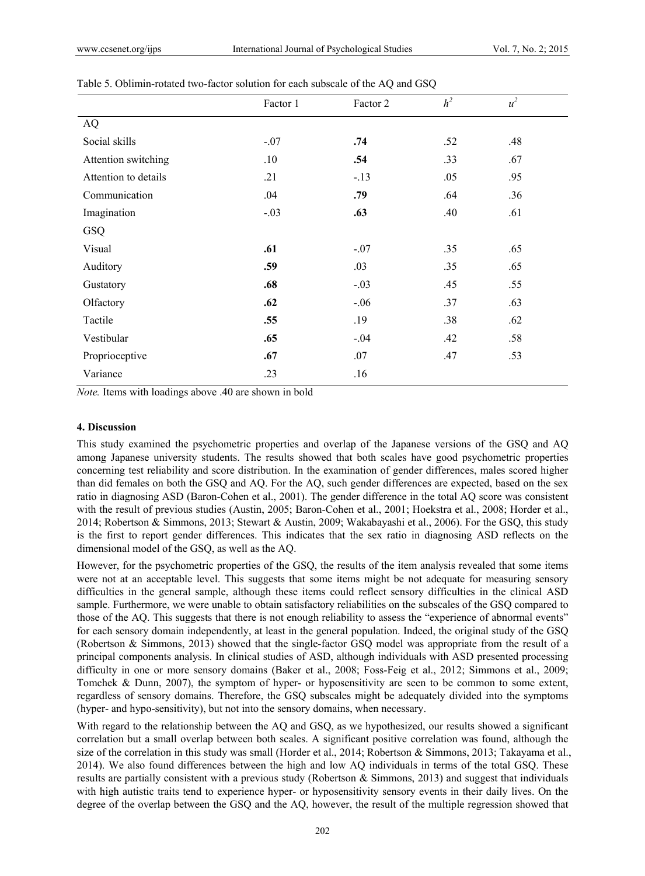|                      | Factor 1 | Factor 2 | h <sup>2</sup> | $u^2$ |
|----------------------|----------|----------|----------------|-------|
| <b>AQ</b>            |          |          |                |       |
| Social skills        | $-.07$   | .74      | .52            | .48   |
| Attention switching  | .10      | .54      | .33            | .67   |
| Attention to details | .21      | $-13$    | .05            | .95   |
| Communication        | .04      | .79      | .64            | .36   |
| Imagination          | $-.03$   | .63      | .40            | .61   |
| GSQ                  |          |          |                |       |
| Visual               | .61      | $-.07$   | .35            | .65   |
| Auditory             | .59      | .03      | .35            | .65   |
| Gustatory            | .68      | $-.03$   | .45            | .55   |
| Olfactory            | .62      | $-.06$   | .37            | .63   |
| Tactile              | .55      | .19      | .38            | .62   |
| Vestibular           | .65      | $-.04$   | .42            | .58   |
| Proprioceptive       | .67      | .07      | .47            | .53   |
| Variance             | .23      | .16      |                |       |

#### Table 5. Oblimin-rotated two-factor solution for each subscale of the AQ and GSQ

*Note.* Items with loadings above .40 are shown in bold

## **4. Discussion**

This study examined the psychometric properties and overlap of the Japanese versions of the GSQ and AQ among Japanese university students. The results showed that both scales have good psychometric properties concerning test reliability and score distribution. In the examination of gender differences, males scored higher than did females on both the GSQ and AQ. For the AQ, such gender differences are expected, based on the sex ratio in diagnosing ASD (Baron-Cohen et al., 2001). The gender difference in the total AQ score was consistent with the result of previous studies (Austin, 2005; Baron-Cohen et al., 2001; Hoekstra et al., 2008; Horder et al., 2014; Robertson & Simmons, 2013; Stewart & Austin, 2009; Wakabayashi et al., 2006). For the GSQ, this study is the first to report gender differences. This indicates that the sex ratio in diagnosing ASD reflects on the dimensional model of the GSQ, as well as the AQ.

However, for the psychometric properties of the GSQ, the results of the item analysis revealed that some items were not at an acceptable level. This suggests that some items might be not adequate for measuring sensory difficulties in the general sample, although these items could reflect sensory difficulties in the clinical ASD sample. Furthermore, we were unable to obtain satisfactory reliabilities on the subscales of the GSQ compared to those of the AQ. This suggests that there is not enough reliability to assess the "experience of abnormal events" for each sensory domain independently, at least in the general population. Indeed, the original study of the GSQ (Robertson & Simmons, 2013) showed that the single-factor GSQ model was appropriate from the result of a principal components analysis. In clinical studies of ASD, although individuals with ASD presented processing difficulty in one or more sensory domains (Baker et al., 2008; Foss-Feig et al., 2012; Simmons et al., 2009; Tomchek & Dunn, 2007), the symptom of hyper- or hyposensitivity are seen to be common to some extent, regardless of sensory domains. Therefore, the GSQ subscales might be adequately divided into the symptoms (hyper- and hypo-sensitivity), but not into the sensory domains, when necessary.

With regard to the relationship between the AQ and GSQ, as we hypothesized, our results showed a significant correlation but a small overlap between both scales. A significant positive correlation was found, although the size of the correlation in this study was small (Horder et al., 2014; Robertson & Simmons, 2013; Takayama et al., 2014). We also found differences between the high and low AQ individuals in terms of the total GSQ. These results are partially consistent with a previous study (Robertson & Simmons, 2013) and suggest that individuals with high autistic traits tend to experience hyper- or hyposensitivity sensory events in their daily lives. On the degree of the overlap between the GSQ and the AQ, however, the result of the multiple regression showed that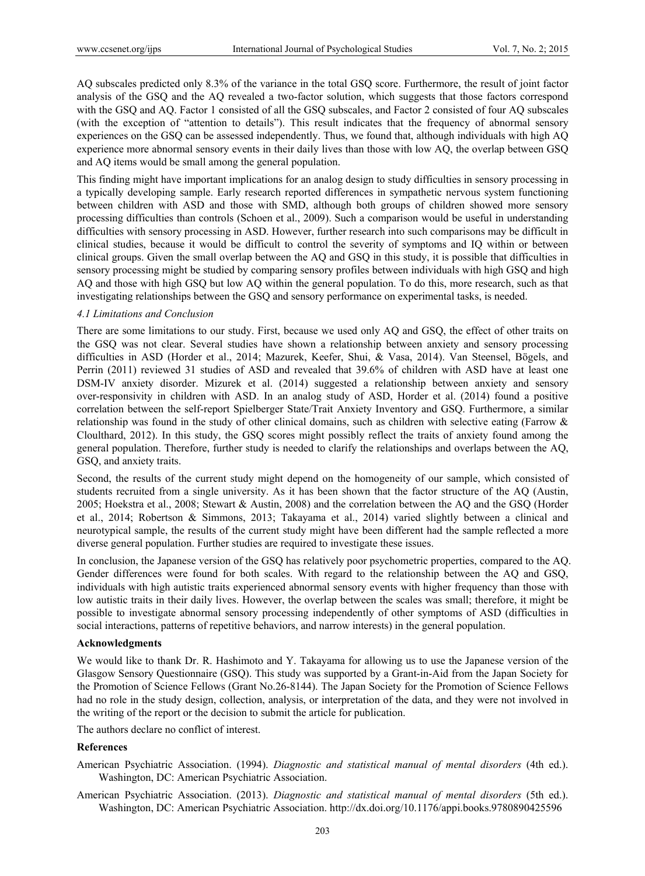AQ subscales predicted only 8.3% of the variance in the total GSQ score. Furthermore, the result of joint factor analysis of the GSQ and the AQ revealed a two-factor solution, which suggests that those factors correspond with the GSQ and AQ. Factor 1 consisted of all the GSQ subscales, and Factor 2 consisted of four AQ subscales (with the exception of "attention to details"). This result indicates that the frequency of abnormal sensory experiences on the GSQ can be assessed independently. Thus, we found that, although individuals with high AQ experience more abnormal sensory events in their daily lives than those with low AQ, the overlap between GSQ and AQ items would be small among the general population.

This finding might have important implications for an analog design to study difficulties in sensory processing in a typically developing sample. Early research reported differences in sympathetic nervous system functioning between children with ASD and those with SMD, although both groups of children showed more sensory processing difficulties than controls (Schoen et al., 2009). Such a comparison would be useful in understanding difficulties with sensory processing in ASD. However, further research into such comparisons may be difficult in clinical studies, because it would be difficult to control the severity of symptoms and IQ within or between clinical groups. Given the small overlap between the AQ and GSQ in this study, it is possible that difficulties in sensory processing might be studied by comparing sensory profiles between individuals with high GSQ and high AQ and those with high GSQ but low AQ within the general population. To do this, more research, such as that investigating relationships between the GSQ and sensory performance on experimental tasks, is needed.

## *4.1 Limitations and Conclusion*

There are some limitations to our study. First, because we used only AQ and GSQ, the effect of other traits on the GSQ was not clear. Several studies have shown a relationship between anxiety and sensory processing difficulties in ASD (Horder et al., 2014; Mazurek, Keefer, Shui, & Vasa, 2014). Van Steensel, Bögels, and Perrin (2011) reviewed 31 studies of ASD and revealed that 39.6% of children with ASD have at least one DSM-IV anxiety disorder. Mizurek et al. (2014) suggested a relationship between anxiety and sensory over-responsivity in children with ASD. In an analog study of ASD, Horder et al. (2014) found a positive correlation between the self-report Spielberger State/Trait Anxiety Inventory and GSQ. Furthermore, a similar relationship was found in the study of other clinical domains, such as children with selective eating (Farrow & Cloulthard, 2012). In this study, the GSQ scores might possibly reflect the traits of anxiety found among the general population. Therefore, further study is needed to clarify the relationships and overlaps between the AQ, GSQ, and anxiety traits.

Second, the results of the current study might depend on the homogeneity of our sample, which consisted of students recruited from a single university. As it has been shown that the factor structure of the AQ (Austin, 2005; Hoekstra et al., 2008; Stewart & Austin, 2008) and the correlation between the AQ and the GSQ (Horder et al., 2014; Robertson & Simmons, 2013; Takayama et al., 2014) varied slightly between a clinical and neurotypical sample, the results of the current study might have been different had the sample reflected a more diverse general population. Further studies are required to investigate these issues.

In conclusion, the Japanese version of the GSQ has relatively poor psychometric properties, compared to the AQ. Gender differences were found for both scales. With regard to the relationship between the AQ and GSQ, individuals with high autistic traits experienced abnormal sensory events with higher frequency than those with low autistic traits in their daily lives. However, the overlap between the scales was small; therefore, it might be possible to investigate abnormal sensory processing independently of other symptoms of ASD (difficulties in social interactions, patterns of repetitive behaviors, and narrow interests) in the general population.

#### **Acknowledgments**

We would like to thank Dr. R. Hashimoto and Y. Takayama for allowing us to use the Japanese version of the Glasgow Sensory Questionnaire (GSQ). This study was supported by a Grant-in-Aid from the Japan Society for the Promotion of Science Fellows (Grant No.26-8144). The Japan Society for the Promotion of Science Fellows had no role in the study design, collection, analysis, or interpretation of the data, and they were not involved in the writing of the report or the decision to submit the article for publication.

The authors declare no conflict of interest.

## **References**

- American Psychiatric Association. (1994). *Diagnostic and statistical manual of mental disorders* (4th ed.). Washington, DC: American Psychiatric Association.
- American Psychiatric Association. (2013). *Diagnostic and statistical manual of mental disorders* (5th ed.). Washington, DC: American Psychiatric Association. http://dx.doi.org/10.1176/appi.books.9780890425596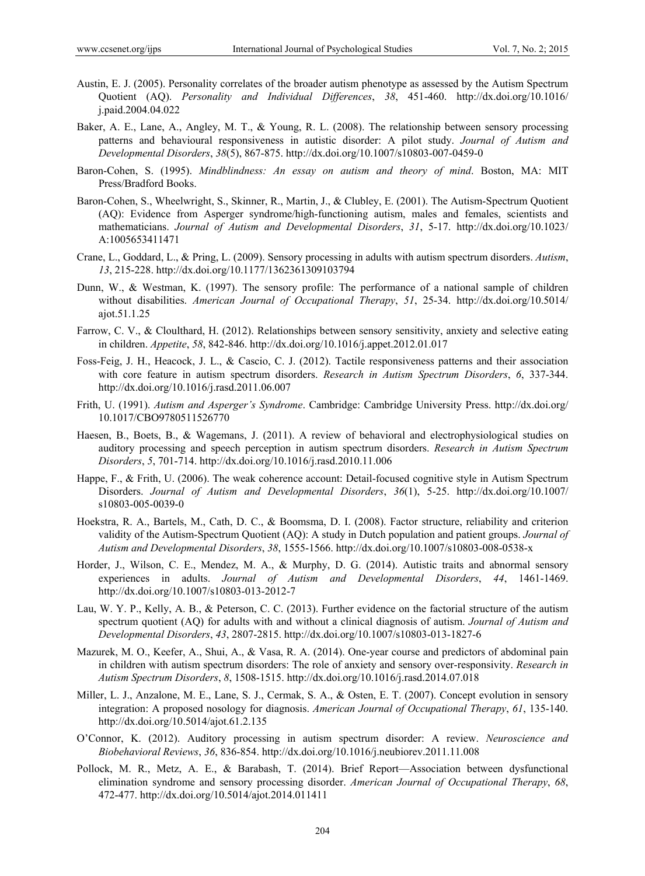- Austin, E. J. (2005). Personality correlates of the broader autism phenotype as assessed by the Autism Spectrum Quotient (AQ). *Personality and Individual Differences*, *38*, 451-460. http://dx.doi.org/10.1016/ j.paid.2004.04.022
- Baker, A. E., Lane, A., Angley, M. T., & Young, R. L. (2008). The relationship between sensory processing patterns and behavioural responsiveness in autistic disorder: A pilot study. *Journal of Autism and Developmental Disorders*, *38*(5), 867-875. http://dx.doi.org/10.1007/s10803-007-0459-0
- Baron-Cohen, S. (1995). *Mindblindness: An essay on autism and theory of mind*. Boston, MA: MIT Press/Bradford Books.
- Baron-Cohen, S., Wheelwright, S., Skinner, R., Martin, J., & Clubley, E. (2001). The Autism-Spectrum Quotient (AQ): Evidence from Asperger syndrome/high-functioning autism, males and females, scientists and mathematicians. *Journal of Autism and Developmental Disorders*, *31*, 5-17. http://dx.doi.org/10.1023/ A:1005653411471
- Crane, L., Goddard, L., & Pring, L. (2009). Sensory processing in adults with autism spectrum disorders. *Autism*, *13*, 215-228. http://dx.doi.org/10.1177/1362361309103794
- Dunn, W., & Westman, K. (1997). The sensory profile: The performance of a national sample of children without disabilities. *American Journal of Occupational Therapy*, *51*, 25-34. http://dx.doi.org/10.5014/ ajot.51.1.25
- Farrow, C. V., & Cloulthard, H. (2012). Relationships between sensory sensitivity, anxiety and selective eating in children. *Appetite*, *58*, 842-846. http://dx.doi.org/10.1016/j.appet.2012.01.017
- Foss-Feig, J. H., Heacock, J. L., & Cascio, C. J. (2012). Tactile responsiveness patterns and their association with core feature in autism spectrum disorders. *Research in Autism Spectrum Disorders*, *6*, 337-344. http://dx.doi.org/10.1016/j.rasd.2011.06.007
- Frith, U. (1991). *Autism and Asperger's Syndrome*. Cambridge: Cambridge University Press. http://dx.doi.org/ 10.1017/CBO9780511526770
- Haesen, B., Boets, B., & Wagemans, J. (2011). A review of behavioral and electrophysiological studies on auditory processing and speech perception in autism spectrum disorders. *Research in Autism Spectrum Disorders*, *5*, 701-714. http://dx.doi.org/10.1016/j.rasd.2010.11.006
- Happe, F., & Frith, U. (2006). The weak coherence account: Detail-focused cognitive style in Autism Spectrum Disorders. *Journal of Autism and Developmental Disorders*, *36*(1), 5-25. http://dx.doi.org/10.1007/ s10803-005-0039-0
- Hoekstra, R. A., Bartels, M., Cath, D. C., & Boomsma, D. I. (2008). Factor structure, reliability and criterion validity of the Autism-Spectrum Quotient (AQ): A study in Dutch population and patient groups. *Journal of Autism and Developmental Disorders*, *38*, 1555-1566. http://dx.doi.org/10.1007/s10803-008-0538-x
- Horder, J., Wilson, C. E., Mendez, M. A., & Murphy, D. G. (2014). Autistic traits and abnormal sensory experiences in adults. *Journal of Autism and Developmental Disorders*, *44*, 1461-1469. http://dx.doi.org/10.1007/s10803-013-2012-7
- Lau, W. Y. P., Kelly, A. B., & Peterson, C. C. (2013). Further evidence on the factorial structure of the autism spectrum quotient (AQ) for adults with and without a clinical diagnosis of autism. *Journal of Autism and Developmental Disorders*, *43*, 2807-2815. http://dx.doi.org/10.1007/s10803-013-1827-6
- Mazurek, M. O., Keefer, A., Shui, A., & Vasa, R. A. (2014). One-year course and predictors of abdominal pain in children with autism spectrum disorders: The role of anxiety and sensory over-responsivity. *Research in Autism Spectrum Disorders*, *8*, 1508-1515. http://dx.doi.org/10.1016/j.rasd.2014.07.018
- Miller, L. J., Anzalone, M. E., Lane, S. J., Cermak, S. A., & Osten, E. T. (2007). Concept evolution in sensory integration: A proposed nosology for diagnosis. *American Journal of Occupational Therapy*, *61*, 135-140. http://dx.doi.org/10.5014/ajot.61.2.135
- O'Connor, K. (2012). Auditory processing in autism spectrum disorder: A review. *Neuroscience and Biobehavioral Reviews*, *36*, 836-854. http://dx.doi.org/10.1016/j.neubiorev.2011.11.008
- Pollock, M. R., Metz, A. E., & Barabash, T. (2014). Brief Report—Association between dysfunctional elimination syndrome and sensory processing disorder. *American Journal of Occupational Therapy*, *68*, 472-477. http://dx.doi.org/10.5014/ajot.2014.011411